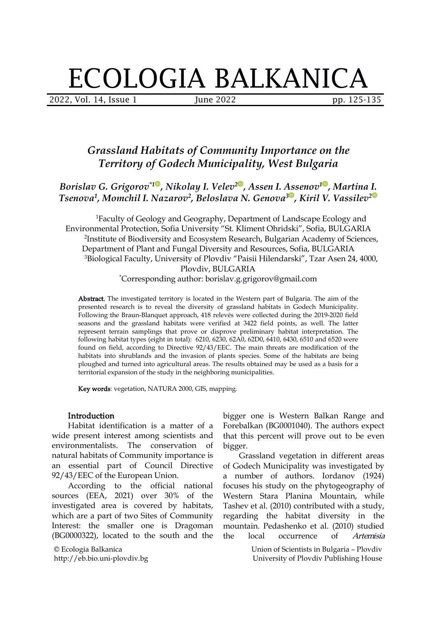# ECOLOGIA BALKANICA

2022, Vol. 14, Issue 1 June 2022 pp. 125-135

## *Grassland Habitats of Community Importance on the Territory of Godech Municipality, West Bulgaria*

*Borislav G. Grigorov \*1 , Nikolay I. Velev 2 , Assen I. Assenov 1 , Martina I. Tsenova 1 , Momchil I. Nazarov 2 , Beloslava N. Genova [3](https://orcid.org/0000-0002-0446-043X) , Kiril V. Vassilev 2*

<sup>1</sup>Faculty of Geology and Geography, Department of Landscape Ecology and Environmental Protection, Sofia University "St. Kliment Ohridski", Sofia, BULGARIA <sup>2</sup>Institute of Biodiversity and Ecosystem Research, Bulgarian Academy of Sciences, Department of Plant and Fungal Diversity and Resources, Sofia, BULGARIA <sup>3</sup>Biological Faculty, University of Plovdiv "Paisii Hilendarski", Tzar Asen 24, 4000, Plovdiv, BULGARIA

\*Corresponding author: borislav.g.grigorov@gmail.com

Abstract. The investigated territory is located in the Western part of Bulgaria. The aim of the presented research is to reveal the diversity of grassland habitats in Godech Municipality. Following the Braun-Blanquet approach, 418 relevés were collected during the 2019-2020 field seasons and the grassland habitats were verified at 3422 field points, as well. The latter represent terrain samplings that prove or disprove preliminary habitat interpretation. The following habitat types (eight in total): 6210, 6230, 62A0, 62D0, 6410, 6430, 6510 and 6520 were found on field, according to Directive 92/43/EEC. The main threats are modification of the habitats into shrublands and the invasion of plants species. Some of the habitats are being ploughed and turned into agricultural areas. The results obtained may be used as abasis for a territorial expansion of the study in the neighboring municipalities.

Key words: vegetation, NATURA 2000, GIS, mapping.

#### **Introduction**

Habitat identification is a matter of a wide present interest among scientists and environmentalists. The conservation of natural habitats of Community importance is an essential part of Council Directive 92/43/EEC of the European Union.

According to the official national sources (EEA, 2021) over 30% of the investigated area is covered by habitats, which are a part of two Sites of Community Interest: the smaller one is Dragoman (BG0000322), located to the south and the the local

© Ecologia Balkanica http://eb.bio.uni-plovdiv.bg bigger one is Western Balkan Range and Forebalkan (BG0001040). The authors expect that this percent will prove out to be even bigger.

Grassland vegetation in different areas of Godech Municipality was investigated by a number of authors. Iordanov (1924) focuses his study on the phytogeography of Western Stara Planina Mountain, while Tashev et al. (2010) contributed with a study, regarding the habitat diversity in the mountain. Pedashenko et al.(2010) studied occurrence of Artemisia

> Union of Scientists in Bulgaria – Plovdiv University of Plovdiv Publishing House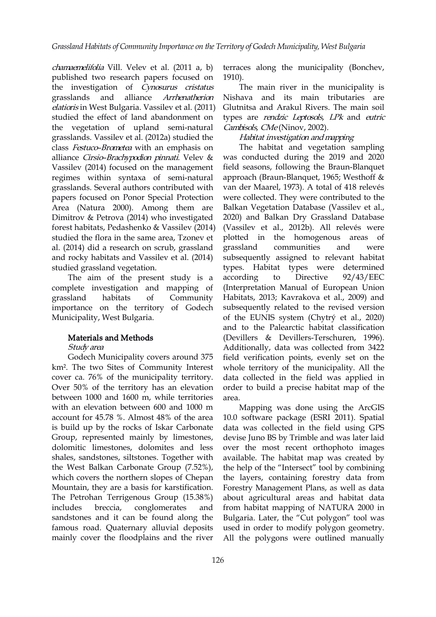chamaemelifolia Vill. Velev et al. (2011 a, b) published two research papers focused on 1910). the investigation of Cynosurus cristatus grasslands and alliance *Arrhenatherion* Nishava and its main tributaries are elatioris in West Bulgaria. Vassilev et al. (2011) studied the effect of land abandonment on the vegetation of upland semi-natural grasslands. Vassilev et al. (2012a) studied the class Festuco–Brometea with an emphasis on alliance Cirsio–Brachypodion pinnati. Velev & Vassilev (2014) focused on the management regimes within syntaxa of semi-natural grasslands. Several authors [co](https://orcid.org/0000-0002-5936-3573)ntributed with papers focused on Ponor Special Protection Area (Natura 2000). Among them are Dimitrov & Petrova (2014) who investigated forest habitats, Pedashenko & Vassilev (2014) studied the flora in the same area, Tzonev et al. (2014) did a research on scrub, grassland and rocky habitats and Vassilev et al. (2014) studied grassland vegetation.

The aim of the present study is a according to complete investigation and mapping of importance on the territory of Godech Municipality, West Bulgaria.

#### Materials and Methods

#### Study area

Godech Municipality covers around 375 km². The two Sites of Community Interest cover ca. 76% of the municipality territory. Over 50% of the territory has an elevation between 1000 and 1600 m, while territories area. with an elevation between 600 and 1000 m account for 45.78 %. Almost 48% of the area is build up by the rocks of Iskar Carbonate Group, represented mainly by limestones, dolomitic limestones, dolomites and less shales, sandstones, siltstones. Together with the West Balkan Carbonate Group (7.52%), which covers the northern slopes of Chepan Mountain, they are a basis for karstification. The Petrohan Terrigenous Group (15.38%) sandstones and it can be found along the famous road. Quaternary alluvial deposits mainly cover the floodplains and the river

terraces along the municipality (Bonchev,

The main river in the municipality is Glutnitsa and Arakul Rivers. The main soil types are rendzic Leptosols, LPk and eutric Cambisols, CMe (Ninov, 2002).

#### Habitat investigation andmapping

grassland habitats of Community Habitats, 2013; Kavrakova et al., 2009) and The habitat and vegetation sampling was conducted during the 2019 and 2020 field seasons, following the Braun-Blanquet approach (Braun-Blanquet, 1965; Westhoff & van [d](https://orcid.org/0000-0001-6812-3670)er Maarel, 1973). A t[ota](https://orcid.org/0000-0002-7899-3562)l of 418 relevés were collected. T[hey](https://orcid.org/0000-0002-0446-043X) were contributed to [th](https://orcid.org/0000-0003-4376-5575)e Balkan Vegetation Database (Vassilev et al., 2020) and Balkan Dry Grassland Database (Vassilev et al., 2012b). All relevés were plotted in the homogenous areas of communities and were subsequently assigned to relevant habitat types. Habitat types were determined Directive  $92/43/EEC$ (Interpretation Manual of European Union subsequently related to the revised version of the EUNIS system (Chytrý et al., 2020) and to the Palearctic habitat classification (Devillers & Devillers-Terschuren, 1996). Additionally, data was collected from 3422 field verification points, evenly set on the whole territory of the municipality. All the data collected in the field was applied in order to build a precise habitat map of the

includes breccia, conglomerates and from habitat mapping of NATURA 2000 in Mapping was done using the ArcGIS 10.0 software package (ESRI 2011). Spatial data was collected in the field using GPS devise Juno BS by Trimble and was later laid over the most recent orthophoto images available. The habitat map was created by the help of the "Intersect" tool by combining the layers, containing forestry data from Forestry Management Plans, as well as data about agricultural areas and habitat data Bulgaria. Later, the "Cut polygon" tool was used in order to modify polygon geometry. All the polygons were outlined manually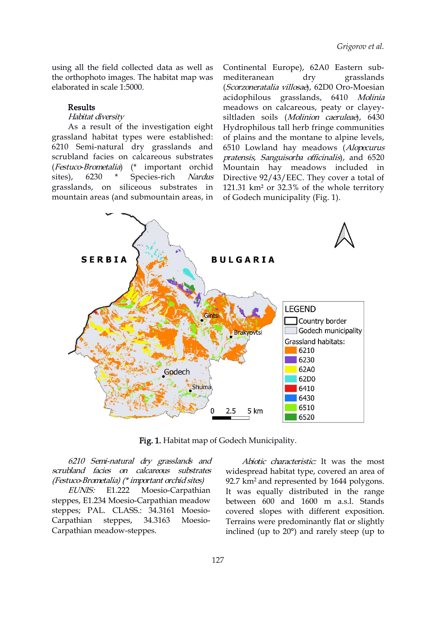using all the field collected data as well as the orthophoto images. The habitat map was elaborated in scale 1:5000.

#### Results

#### Habitat diversity

As a result of the investigation eight grassland habitat types were established: 6210 Semi-natural dry grasslands and scrubland facies on calcareous substrates (Festuco-Brometalia) (\* important orchid sites), 6230 <sup>\*</sup> Specie[s-](https://orcid.org/0000-0002-5936-3573)rich *Nardus* Directive 92/43/EEC. They cover a total of grasslands, on siliceous substrates in mountain areas (and submountain areas, in

Continental Europe), 62A0 Eastern sub mediteranean dry grasslands (Scorzoneratalia villosae), 62D0 Oro-Moesian acidophilous grasslands, 6410 Molinia meadows on calcareous, peaty or clayey siltladen soils (Molinion caeruleae), 6430 Hydrophilous tall herb fringe communities of plains and the montane to alpine levels, 6510 Lowland hay meadows (Alopecurus pratensis, Sanguisorba officinalis), and 6520 Mountain hay meadows included in 121.[31](https://orcid.org/0000-0001-6812-3670) km² or 32.3% of th[e](https://orcid.org/0000-0002-7899-3562) whole territory of Godech munic[ip](https://orcid.org/0000-0002-0446-043X)ality (Fig. 1).



Fig. 1. Habitat map of Godech Municipality.

6210 Semi-natural dry grasslands and scrubland facies on calcareous substrates (Festuco-Brometalia) (\* important orchidsites)

steppes, E1.234 Moesio-Carpathian meadow steppes; PAL. CLASS.: 34.3161 Moesio- Carpathian steppes, 34.3163 Moesio- Carpathian meadow-steppes.

EUNIS: E1.222 Moesio-Carpathian It was equally distributed in the range Abiotic characteristic: It was the most widespread habitat type, covered an area of 92.7 km<sup>2</sup> and represented by 1644 polygons. between 600 and 1600 m a.s.l. Stands covered slopes with different exposition. Terrains were predominantly flat or slightly inclined (up to 20°) and rarely steep (up to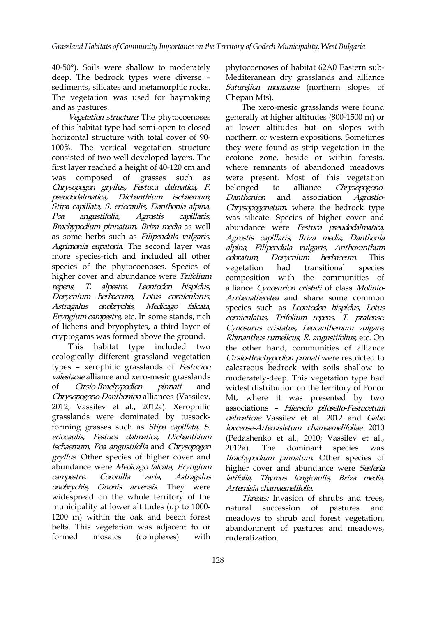40-50°). Soils were shallow to moderately deep. The bedrock types were diverse – sediments, silicates and metamorphic rocks. The vegetation was used for haymaking and as pastures.

Vegetation structure: The phytocoenoses of this habitat type had semi-open to closed horizontal structure with total cover of 90- 100%. The vertical vegetation structure consisted of two well developed layers. The first layer reached a height of 40-120 cm and was composed of grasses such as Chrysopogon gryllus, Festu[ca](https://orcid.org/0000-0002-5936-3573) dalmatica, F. pseudodalmatica, Dichanthium ischaemum, Stipa capillata, S. eriocaulis, Danthonia alpina, Poa angustifolia, Agrostis capillaris, Brachypodium pinnatum, Briza media as well as some herbs such as Filipendula vulgaris, Agrimonia eupatoria. The second layer was more species-rich and included all other  $\alpha$ doratum species of the phytocoenoses. Species of vegetation higher cover and abundance were Trifolium repens, T. alpestre, Leontodon hispidus, Dorycnium herbaceum, Lotus corniculatus, Astragalus onobrychis, Medicago falcata, Eryngium campestre, etc. In some stands, rich of lichens and bryophytes, a third layer of cryptogams was formed above the ground.

This habitat type included two ecologically different grassland vegetation types – xerophilic grasslands of Festucion valesiacae alliance and xero-mesic grasslands Chrysopogono-Danthonion alliances (Vassilev, 2012; Vassilev et al., 2012a). Xerophilic grasslands were dominated by tussockforming grasses such as Stipa capillata, S. eriocaulis, Festuca dalmatica, Dichanthium ischaemum, Poa angustifolia and Chrysopogon 2012a). The gryllus. Other species of higher cover and abundance were Medicago falcata, Eryngium onobrychis, Ononis arvensis. They were widespread on the whole territory of the municipality at lower altitudes (up to 1000- 1200 m) within the oak and beech forest belts. This vegetation was adjacent to or formed mosaics (complexes) with ruderalization.

phytocoenoses of habitat 62A0 Eastern sub- Mediteranean dry grasslands and alliance Saturejion montanae (northern slopes of Chepan Mts).

of Cirsio-Brachypodion pinnati and widest distribution on the territory of Ponor campestre, Coronilla varia, Astragalus latifolia, Thymus longicaulis, Briza media, The xero-mesic grasslands were found generally at higher altitudes (800-1500 m) or at lower altitudes but on slopes with northern or western expositions. Sometimes they were found as strip vegetation in the ecotone zone, beside or within forests, where remnants of abandoned meadows were present. Most of [t](https://orcid.org/0000-0002-7899-3562)his vegetation to alliance Chrysopog[on](https://orcid.org/0000-0001-6812-3670)oassociation Agro[sti](https://orcid.org/0000-0003-4376-5575)o-Chrysopogonetum, where the bedrock type was silicate. Species of higher cover and abundance were Festuca pseudodalmatica, Agrostis capillaris, Briza media, Danthonia alpina, Filipendula vulgaris, Anthoxanthum Dorycnium herbaceum. This had transitional species composition with the communities of alliance Cynosurion cristati of class Molinio-Arrhenatheretea and share some common species such as Leontodon hispidus, Lotus corniculatus, Trifolium repens, T. pratense, Cynosurus cristatus, Leucanthemum vulgare, Rhinanthus rumelicus, R. angustifolius, etc. On the other hand, communities of alliance Cirsio-Brachypodion pinnati were restricted to calcareous bedrock with soils shallow to moderately-deep. This vegetation type had Mt, where it was presented by two associations – Hieracio pilosello-Festucetum dalmaticae Vassilev et al. 2012 and Galio lovcense-Artemisietum chamaemelifoliae 2010 (Pedashenko et al., 2010; Vassilev et al., dominant species was Brachypodium pinnatum. Other species of higher cover and abundance were Sesleria Artemisia chamaemelifolia.

> Threats: Invasion of shrubs and trees, natural succession of pastures and meadows to shrub and forest vegetation, abandonment of pastures and meadows,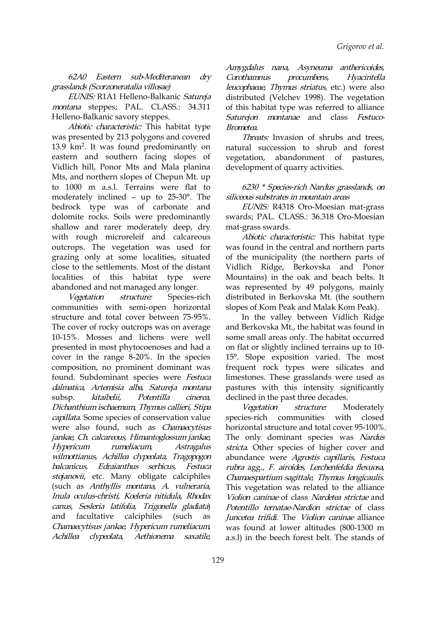62A0 Eastern sub-Mediteranean dry grasslands (Scorzoneratalia villosae)

EUNIS: R1A1 Helleno-Balkanic Satureja montana steppes; PAL. CLASS.: 34.311 Helleno-Balkanic savory steppes.

Abiotic characteristic: This habitat type was presented by 213 polygons and covered 13.9 km<sup>2</sup>. It was found predominantly on natural succession eastern and southern facing slopes of vegetation. Vidlich hill, Ponor Mts and Mala planina Mts, and northern slopes of [C](https://orcid.org/0000-0002-5936-3573)hepun Mt. up to 1000 m a.s.l. Terrains were flat to moderately inclined – up to 25-30°. The bedrock type was of carbonate and dolomite rocks. Soils were predominantly shallow and rarer moderately deep, dry with rough microreleif and calcareous outcrops. The vegetation was used for grazing only at some localities, situated close to the settlements. Most of the distant localities of this habitat type were abandoned and not managed any longer.

communities with semi-open horizontal structure and total cover between 75-95%. The cover of rocky outcrops was on average 10-15%. Mosses and lichens were well presented in most phytocoenoses and had a cover in the range  $8-20\%$ . In the species composition, no prominent dominant was found. Subdominant species were Festuca dalmatica, Artemisia alba, Satureja montana subsp. kitaibelii, Potentilla cinerea, Dichanthium ischaemum, Thymus callieri, Stipa capillata. Some species of conservation value were also found, such as Chamaecytisus jankae, Ch. calcareous, Himantoglossum jankae, Hypericum rumeliacum, Astragalus stricta. Other species of higher cover and wilmottianus, Achillea clypeolata, Tragopogon balcanicus, Edraianthus serbicus, Festuca stojanovii, etc. Many obligate calciphiles (such as Anthyllis montana, A. vulneraria, Inula oculus-christi, Koeleria nitidula, Rhodax canus, Sesleria latifolia, Trigonella gladiata) and facultative calciphiles (such as Chamaecytisus jankae, Hypericum rumeliacum, Achillea clypeolata, Aethionema saxatile,

Amygdalus nana, Asyneuma anthericoides, Corothamnus procumbens, Hyacintella leucophaeae, Thymus striatus, etc.) were also distributed (Velchev 1998). The vegetation of this habitat type was referred to alliance Saturejon montanae and class Festuco-Brometea.

Threats: Invasion of shrubs and trees, natural succession to shrub and forest abandonment of pastures, development of quarry activities.

#### [6](https://orcid.org/0000-0001-6812-3670)230 \* Species-rich Na[rdu](https://orcid.org/0000-0002-7899-3562)s grasslands, on siliceous substrates [in](https://orcid.org/0000-0002-0446-043X) mountain areas

EUNIS: R4318 Oro-Moesian mat-grass swards; PAL. CLASS.: 36.318 Oro-Moesian mat-grass swards.

Vegetation structure: Species-rich distributed in Berkovska Mt. (the southern Abiotic characteristic: This habitat type was found in the central and northern parts of the municipality (the northern parts of Vidlich Ridge, Berkovska and Ponor Mountains) in the oak and beach belts. It was represented by 49 polygons, mainly slopes of Kom Peak and Malak Kom Peak).

> In the valley between Vidlich Ridge and Berkovska Mt., the habitat was found in some small areas only. The habitat occurred on flat or slightly inclined terrains up to 10- 15°. Slope exposition varied. The most frequent rock types were silicates and limestones. These grasslands were used as pastures with this intensity significantly declined in the past three decades.

> structure: Moderately species-rich communities with closed horizontal structure and total cover 95-100%. The only dominant species was Nardus abundance were Agrostis capillaris, Festuca rubra agg., F. airoides, Lerchenfeldia flexuosa, Chamaespartium sagittale, Thymus longicaulis. This vegetation was related to the alliance Violion caninae of class Nardetea strictae and Potentillo ternatae-Nardion strictae of class Juncetea trifidi. The Violion caninae alliance was found at lower altitudes (800-1300 m a.s.l) in the beech forest belt. The stands of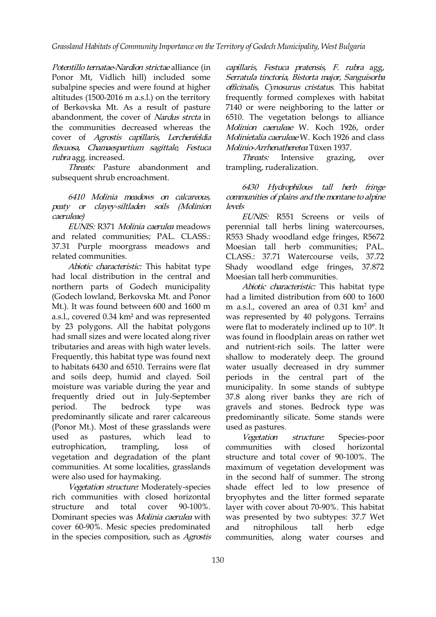Potentillo ternatae-Nardion strictae alliance (in Ponor Mt, Vidlich hill) included some subalpine species and were found at higher altitudes (1500-2016 m a.s.l.) on the territory of Berkovska Mt. As a result of pasture abandonment, the cover of Nardus strcta in the communities decreased whereas the cover of Agrostis capillaris, Lerchenfeldia flexuosa, Chamaespartium sagittale, Festuca rubra agg. increased.

Threats: Pasture abandonment and subsequent shrub encroach[men](https://orcid.org/0000-0002-5936-3573)t.

6410 Molinia meadows on calcareous, peaty or clayey-siltladen soils (Molinion caeruleae)

EUNIS: R371 Molinia caerulea meadows and related communities; PAL. CLASS.: 37.31 Purple moorgrass meadows and related communities.

Abiotic characteristic: This habitat type had local distribution in the central and northern parts of Godech municipality (Godech lowland, Berkovska Mt. and Ponor Mt.). It was found between 600 and 1600 m a.s.l., covered 0.34km² and was represented by 23 polygons. All the habitat polygons had small sizes and were located along river tributaries and areas with high water levels. Frequently, this habitat type was found next to habitats 6430 and 6510. Terrains were flat and soils deep, humid and clayed. Soil moisture was variable during the year and frequently dried out in July-September predominantly silicate and rarer calcareous (Ponor Mt.). Most of these grasslands were used as pastures, which lead to Vegetation structure: eutrophication, trampling, loss of vegetation and degradation of the plant communities. At some localities, grasslands were also used for haymaking.

Vegetation structure: Moderately-species rich communities with closed horizontal structure and total cover 90-100%. Dominant species was Molinia caerulea with cover 60-90%. Mesic species predominated in the species composition, such as Agrostis

capillaris, Festuca pratensis, F. rubra agg, Serratula tinctoria, Bistorta major, Sanguisorba officinalis, Cynosurus cristatus. This habitat frequently formed complexes with habitat 7140 or were neighboring to the latter or 6510. The vegetation belongs to alliance Molinion caeruleae W. Koch 1926, order Molinietalia caeruleae W. Koch 1926 and class Molinio-Arrhenatheretea Tüxen 1937.

Threats: Intensive grazing, over trampling, ruderalization.

#### [6](https://orcid.org/0000-0001-6812-3670)430 Hydrophilous [tal](https://orcid.org/0000-0002-7899-3562)l herb fringe communities of pl[ain](https://orcid.org/0000-0002-0446-043X)s and the montane to a[lpin](https://orcid.org/0000-0003-4376-5575)e levels

EUNIS: R551 Screens or veils of perennial tall herbs lining watercourses, R553 Shady woodland edge fringes, R5672 Moesian tall herb communities; PAL. CLASS.: 37.71 Watercourse veils, 37.72 Shady woodland edge fringes, 37.872 Moesian tall herb communities.

period. The bedrock type was gravels and stones. Bedrock type was Abiotic characteristic: This habitat type had a limited distribution from 600 to 1600 m a.s.l., covered an area of 0.31 km<sup>2</sup> and was represented by 40 polygons. Terrains were flat to moderately inclined up to 10°. It was found in floodplain areas on rather wet and nutrient-rich soils. The latter were shallow to moderately deep. The ground water usually decreased in dry summer periods in the central part of the municipality. In some stands of subtype 37.8 along river banks they are rich of predominantly silicate. Some stands were used as pastures.

> Species-poor communities with closed horizontal structure and total cover of 90-100%. The maximum of vegetation development was in the second half of summer. The strong shade effect led to low presence of bryophytes and the litter formed separate layer with cover about 70-90%. This habitat was presented by two subtypes: 37.7 Wet nitrophilous tall herb edge communities, along water courses and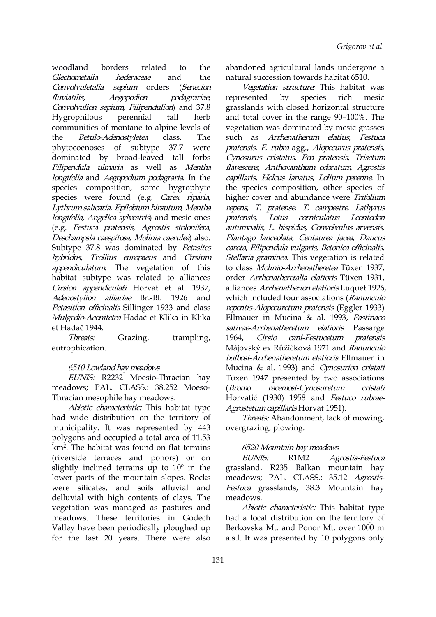woodland borders related to the abandoned agricultural lands undergone a Glechometalia hederaceae and the natural succession towards habitat 6510. Convolvuletalia sepium orders (Senecion fluviatilis, Aegopodion podagrariae, Convolvulion sepium, Filipendulion) and 37.8 communities of montane to alpine levels of the Betulo-Adenostyletea class. The phytocoenoses of subtype 37.7 were dominated by broad-leaved tall forbs Filipendula ulmaria as well as Mentha longifolia and Aegopodium podagraria. In the species composition, so[me](https://orcid.org/0000-0002-5936-3573) hygrophyte species were found (e.g. Carex riparia, Lythrum salicaria, Epilobium hirsutum, Mentha longifolia, Angelica sylvestris) and mesic ones pratensis, (e.g. Festuca pratensis, Agrostis stolonifera, Deschampsia caespitosa, Molinia caerulea) also. Subtype 37.8 was dominated by Petasites hybridus, Trollius europaeus and Cirsium appendiculatum. The vegetation of this habitat subtype was related to alliances Cirsion appendiculati Horvat et al. 1937, Adenostylion alliariae Br.-Bl. 1926 and Petasition officinalis Sillinger 1933 and class Mulgedio-Aconitetea Hadač et Klika in Klika et Hadač 1944.

Threats: Grazing, trampling, 1964, eutrophication.

#### 6510 Lowland hay meadows

EUNIS: R2232 Moesio-Thracian hay meadows; PAL. CLASS.: 38.252 Moeso- (Bromo Thracian mesophile hay meadows.

Abiotic characteristic: This habitat type had wide distribution on the territory of municipality. It was represented by 443 polygons and occupied a total area of 11.53 km<sup>2</sup>. The habitat was found on flat terrains 6520 Mou (riverside terraces and ponors) or on EUNIS: R1M2 slightly inclined terrains up to 10º in the lower parts of the mountain slopes. Rocks were silicates, and soils alluvial and delluvial with high contents of clays. The vegetation was managed as pastures and meadows. These territories in Godech Valley have been periodically ploughed up for the last 20 years. There were also

Hygrophilous perennial tall herb and total cover in the range 90–100%. The Vegetation structure: This habitat was represented by species rich mesic grasslands with closed horizontal structure vegetation was dominated by mesic grasses such as Arrhenatherum elatius, Festuca pratensis, F. rubra agg., Alopecurus pratensis, Cynosurus cristatus, Poa pratensis, Trisetum flavescens, Anthoxanthum odoratum, Agrostis ca[p](https://orcid.org/0000-0001-6812-3670)illaris, Holcus lanatus, Lolium perenne. In the species composition, [ot](https://orcid.org/0000-0002-7899-3562)her species of higher cover [a](https://orcid.org/0000-0002-0446-043X)nd abundance were Trifo[liu](https://orcid.org/0000-0003-4376-5575)m repens, T. pratense, T. campestre, Lathyrus Lotus corniculatus Leontodon autumnalis, L. hispidus, Convolvulus arvensis, Plantago lanceolata, Centaurea jacea, Daucus carota, Filipendula vulgaris, Betonica officinalis, Stellaria graminea. This vegetation is related to class Molinio-Arrhenatheretea Tüxen 1937, order Arrhenatheretalia elatioris Tüxen 1931, alliances Arrhenatherion elatioris Luquet 1926, which included four associations (Ranunculo repentis-Alopecuretum pratensis (Eggler 1933) Ellmauer in Mucina & al. 1993, Pastinaco sativae-Arrhenatheretum elatioris Passarge Cirsio cani-Festucetum pratensis Májovský ex Růžičková 1971 and Ranunculo bulbosi-Arrhenatheretum elatioris Ellmauer in Mucina & al. 1993) and Cynosurion cristati Tüxen 1947 presented by two associations racemosi-Cynosuretum cristati Horvatić (1930) 1958 and Festuco rubrae-Agrostetum capillaris Horvat 1951).

Threats: Abandonment, lack of mowing, overgrazing, plowing.

### 6520 Mountain hay meadows

Agrostis-Festuca grassland, R235 Balkan mountain hay meadows; PAL. CLASS.: 35.12 Agrostis- Festuca grasslands, 38.3 Mountain hay meadows.

Abiotic characteristic: This habitat type had a local distribution on the territory of Berkovska Mt. and Ponor Mt. over 1000 m a.s.l. It was presented by 10 polygons only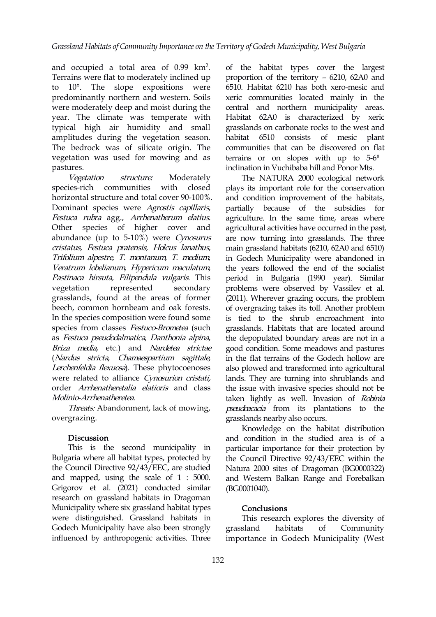and occupied a total area of 0.99 km<sup>2</sup> Terrains were flat to moderately inclined up to 10°. The slope expositions were predominantly northern and western. Soils were moderately deep and moist during the year. The climate was temperate with typical high air humidity and small amplitudes during the vegetation season. The bedrock was of silicate origin. The vegetation was used for mowing and as pastures.

horizontal structure and total cover 90-100%. Dominant species were Agrostis capillaris, Festuca rubra agg., Arrhenatherum elatius. Other species of higher cover and abundance (up to 5-10%) were Cynosurus cristatus, Festuca pratensis, Holcus lanathus, Trifolium alpestre, T. montanum, T. medium, Veratrum lobelianum, Hypericum maculatum, Pastinaca hirsuta, Filipendula vulgaris. This grasslands, found at the areas of former beech, common hornbeam and oak forests. In the species composition were found some species from classes Festuco-Brometea (such as Festuca pseudodalmatica, Danthonia alpina, Briza media, etc.) and Nardetea strictae (Nardus stricta, Chamaespartium sagittale, Lerchenfeldia flexuosa). These phytocoenoses were related to alliance Cynosurion cristati, order Arrhenatheretalia elatioris and class Molinio-Arrhenatheretea.

Threats: Abandonment, lack of mowing, overgrazing.

#### Discussion

This is the second municipality in Bulgaria where all habitat types, protected by the Council Directive 92/43/EEC, are studied and mapped, using the scale of 1 : 5000. Grigorov et al. (2021) conducted similar research on grassland habitats in Dragoman Municipality where six grassland habitat types were distinguished. Grassland habitats in Godech Municipality have also been strongly erassland habitats influenced by anthropogenic activities. Three

. of the habitat types cover the largest proportion of the territory – 6210, 62A0 and 6510. Habitat 6210 has both xero-mesic and xeric communities located mainly in the central and northern municipality areas. Habitat 62A0 is characterized by xeric grasslands on carbonate rocks to the west and habitat 6510 consists of mesic plant communities that can be discovered on flat terrains or on slopes with up to  $5-6^\circ$ inclination in Vuchibaba hill and Ponor Mts.

Vegetation structure: Moderately The NATURA 2000 e[co](https://orcid.org/0000-0002-7899-3562)logical network species-rich communities with closed pla[ys](https://orcid.org/0000-0001-6812-3670) its important role for the conservation vegetation represented secondary problems were observed by Vassilev et al. and condition i[mpr](https://orcid.org/0000-0002-0446-043X)ovement of the habi[tat](https://orcid.org/0000-0003-4376-5575)s, partially because of the subsidies for agriculture. In the same time, areas where agricultural activities have occurred in the past, are now turning into grasslands. The three main grassland habitats (6210, 62A0 and 6510) in Godech Municipality were abandoned in the years followed the end of the socialist period in Bulgaria (1990 year). Similar (2011). Wherever grazing occurs, the problem of overgrazing takes its toll. Another problem is tied to the shrub encroachment into grasslands. Habitats that are located around the depopulated boundary areas are not in a good condition. Some meadows and pastures in the flat terrains of the Godech hollow are also plowed and transformed into agricultural lands. They are turning into shrublands and the issue with invasive species should not be taken lightly as well. Invasion of Robinia pseudoacacia from its plantations to the grasslands nearby also occurs.

> Knowledge on the habitat distribution and condition in the studied area is of a particular importance for their protection by the Council Directive 92/43/EEC within the Natura 2000 sites of Dragoman (BG0000322) and Western Balkan Range and Forebalkan (BG0001040).

#### Conclusions

This research explores the diversity of of Community importance in Godech Municipality (West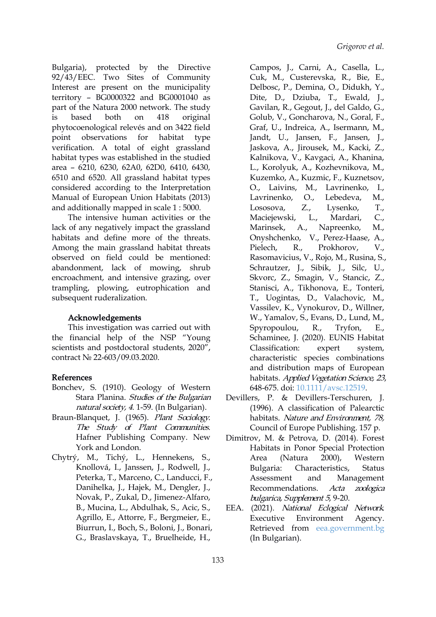Bulgaria), protected by the Directive 92/43/EEC. Two Sites of Community Interest are present on the municipality territory – BG0000322 and BG0001040 as part of the Natura 2000 network. The study is based both on 418 original phytocoenological relevés and on 3422 field point observations for habitat type verification. A total of eight grassland habitat types was established in the studied area – 6210, 6230, 62A0, 62D0, 6410, 6430, 6510 and 6520.All grassland habitat types considered according to th[e](https://orcid.org/0000-0002-5936-3573) Interpretation Manual of European Union Habitats (2013) and additionally mapped in scale 1 : 5000.

The intensive human activities or the lack of any negatively impact the grassland Marinsek, A., habitats and define more of the threats. Among the main grassland habitat threats observed on field could be mentioned: abandonment, lack of mowing, shrub encroachment, and intensive grazing, over trampling, plowing, eutrophication and subsequent ruderalization.

#### Acknowledgements

This investigation was carried out with the financial help of the NSP "Young scientists and postdoctoral students, 2020", contract № 22-603/09.03.2020.

### References

- Bonchev, S. (1910). Geology of Western Stara Planina. Studies of the Bulgarian natural society, 4.1-59. (In Bulgarian).
- Braun-Blanquet, J. (1965). Plant Sociology. The Study of Plant Communities. Hafner Publishing Company. New York and London.
- Chytrý, M., Tichý, L., Hennekens, S., Knollová, I., Janssen, J., Rodwell, J., Peterka, T., Marceno, C., Landucci, F., Assessment Danihelka, J., Hajek, M., Dengler, J., Novak, P., Zukal, D., Jimenez-Alfaro, B., Mucina, L., Abdulhak, S., Acic, S., Agrillo, E., Attorre, F., Bergmeier, E., Biurrun, I., Boch, S., Boloni, J., Bonari, G., Braslavskaya, T., Bruelheide, H.,

Campos, J., Carni, A., Casella, L., Cuk, M., Custerevska, R., Bie, E., Delbosc, P., Demina, O., Didukh, Y., Dite, D., Dziuba, T., Ewald, J., Gavilan, R., Gegout, J., del Galdo, G., Golub, V., Goncharova, N., Goral, F., Graf, U., Indreica, A., Isermann, M., Jandt, U., Jansen, F., Jansen, J., Jaskova, A., Jirousek, M., Kacki, Z., Kalnikova, V., Kavgaci, A., Khanina, L., Korolyuk, A., Kozhevnikova, M., Kuzemko, A., Kuzmic, F., Kuznetsov, O., Laivins, M., [L](https://orcid.org/0000-0002-7899-3562)avrinenko, I., Lavrinenk[o,](https://orcid.org/0000-0002-0446-043X) O., Lebedeva, [M](https://orcid.org/0000-0003-4376-5575)., Lososova, Z., Lysenko, T., Maciejewski, L., Mardari, C., Napreenko, M., Onyshchenko, V., Perez-Haase, A., R., Prokhorov, V., Rasomavicius, V., Rojo, M., Rusina, S., Schrautzer, J., Sibik, J., Silc, U., Skvorc, Z., Smagin, V., Stancic, Z., Stanisci, A., Tikhonova, E., Tonteri, T., Uogintas, D., Valachovic, M., Vassilev, K., Vynokurov, D., Willner, W., Yamalov, S., Evans, D., Lund, M., Spyropoulou, R., Tryfon, E., Schaminee, J. (2020). EUNIS Habitat Classification: expert system, characteristic species combinations and distribution maps of European habitats. Applied Vegetation Science, 23, 648-675. doi: [10.1111/avsc.12519.](https://doi.org/10.1111/avsc.12519)

- Devillers, P. & Devillers-Terschuren, J. (1996). A classification of Palearctic habitats. Nature and Environment, 78, Council of Europe Publishing. 157 p.
- Dimitrov, M. & Petrova, D. (2014). Forest Habitats in Ponor Special Protection Area (Natura 2000), Western Bulgaria: Characteristics, Status and Management Recommendations. Acta zoologica bulgarica, Supplement <sup>5</sup>, 9-20.
- EEA. (2021). National Eclogical Network. Executive Environment Agency. Retrieved from [eea.government.bg](http://eea.government.bg/bg/bio/nem) (In Bulgarian).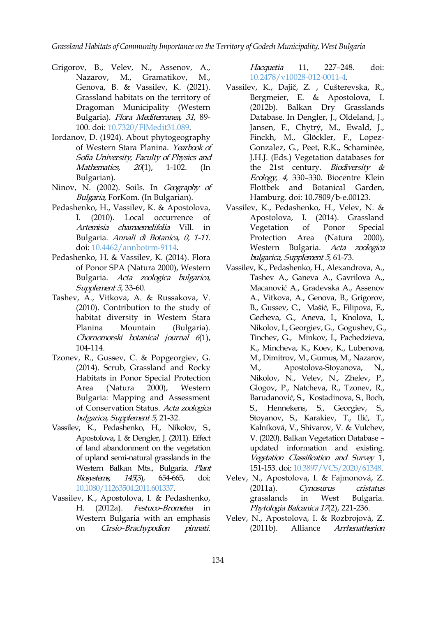*Grassland Habitats of Community Importance on the Territory of Godech Municipality, West Bulgaria*

- Grigorov, B., Velev, N., Assenov, A., Nazarov, M., Gramatikov, M., Genova, B. & Vassilev, K. (2021). Grassland habitats on the territory of Dragoman Municipality (Western Bulgaria). Flora Mediterranea, 31, 89- 100. doi: [10.7320/FlMedit31.089](https://doi.org/10.7320/FlMedit31.089).
- Iordanov, D. (1924). About phytogeography of Western Stara Planina. Yearbook of Sofia University, Faculty of Physics and Bulgarian).
- Ni[n](https://orcid.org/0000-0002-5936-3573)ov, N. (2002). Soils. In Geography of Bulgaria, ForKom. (In Bulgarian).
- Pedashenko, H., Vassilev, K. & Apostolova, I. (2010). Local occurrence of Artemisia chamaemelifolia Vill. in Bulgaria. Annali di Botanica, 0, 1-11. doi: [10.4462/annbotrm-9114](https://doi.org/10.4462/annbotrm-9114).
- Pedashenko, H. & Vassilev, K. (2014). Flora of Ponor SPA (Natura 2000), Western Bulgaria. Acta zoologica bulgarica, Supplement <sup>5</sup>, 33-60.
- Tashev, A., Vitkova, A. & Russakova, V. (2010). Contribution to the study of habitat diversity in Western Stara Planina Mountain (Bulgaria). Chornomorski botanical journal <sup>6</sup>(1), 104-114.
- Tzonev, R., Gussev, C. & Popgeorgiev, G. (2014). Scrub, Grassland and Rocky Habitats in Ponor Special Protection Bulgaria: Mapping and Assessment of Conservation Status. Acta zoologica bulgarica, Supplement <sup>5</sup>, 21-32.
- Vassilev, K., Pedashenko, H., Nikolov, S., Apostolova, I. & Dengler, J. (2011). Effect of land abandonment on the vegetation of upland semi-natural grasslands in the Western Balkan Mts., Bulgaria. Plant Biosystems, <sup>145</sup>(3), 654-665, doi: [10.1080/11263504.2011.601337.](https://doi.org/10.1080/11263504.2011.601337)
- Vassilev, K., Apostolova, I. & Pedashenko, H. (2012a). Festuco-Brometea in Western Bulgaria with an emphasis on Cirsio–Brachypodion pinnati.

Hacquetia 11, 227–248. doi: [10.2478/v10028-012-0011-4](https://doi.org/10.2478/v10028-012-0011-4).

- Mathematics, 20(1), 1-102. (In the 21st century. *Biodiversity &* Vassilev, K., Dajič, Z. , Cušterevska, R., Bergmeier, E. & Apostolova, I. (2012b). Balkan Dry Grasslands Database. In Dengler, J., Oldeland, J., Jansen, F., Chytrý, M., Ewald, J., Finckh, M., Glöckler, F., Lopez- Gonzalez, G., Peet, R.K., Schaminée, J.H.J. (Eds.) Vegetation databases for Ecology, <sup>4</sup>, 330–330. Biocentre Klein Flottbek and Bo[ta](https://orcid.org/0000-0002-7899-3562)nical Garden, Hamburg. [d](https://orcid.org/0000-0002-0446-043X)oi: [10.7809/b-e.00123](https://doi.org/10.7809/b-e.00123).
	- Vassilev, K., Pedashenko, H., Velev, N. & Apostolova, I. (2014). Grassland Vegetation of Ponor Special Protection Area (Natura 2000), Western Bulgaria. Acta zoologica bulgarica, Supplement <sup>5</sup>, 61-73.
- Area (Natura 2000), Western Glogov, P., Natcheva, R., Tzonev, R., Vassilev, K., Pedashenko, H., Alexandrova, A., Tashev A., Ganeva A., Gavrilova A., Macanović A., Gradevska A., Assenov A., Vitkova, A., Genova, B., Grigorov, B., Gussev, C., Mašić, E., Filipova, E., Gecheva, G., Aneva, I., Knolova, I., Nikolov, I., Georgiev, G., Gogushev, G., Tinchev, G., Minkov, I., Pachedzieva, K., Mincheva, K., Koev, K., Lubenova, M., Dimitrov, M., Gumus, M., Nazarov, M., Apostolova-Stoyanova, N., Nikolov, N., Velev, N., Zhelev, P., Barudanović, S., Kostadinova, S., Boch, S., Hennekens, S., Georgiev, S., Stoyanov, S., Karakiev, T., Ilić, T., Kalníková, V., Shivarov, V. & Vulchev, V. (2020). Balkan Vegetation Database – updated information and existing. Vegetation Classification and Survey 1, 151-153. doi: [10.3897/VCS/2020/61348.](https://doi.org/10.3897/VCS/2020/61348)
	- Velev, N., Apostolova, I. & Fajmonová, Z. (2011a). Cynosurus cristatus grasslands in West Bulgaria. Phytologia Balcanica 17(2), 221-236.
	- Velev, N., Apostolova, I. & Rozbrojová, Z. Alliance *Arrhenatherion*